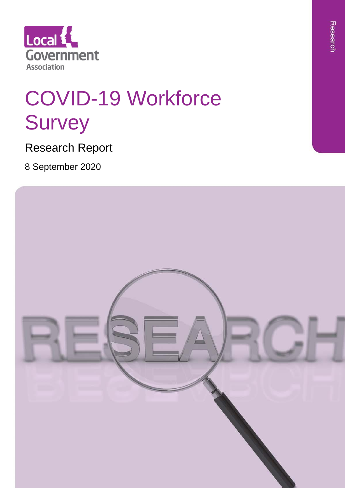

# COVID-19 Workforce Survey

Research Report

8 September 2020

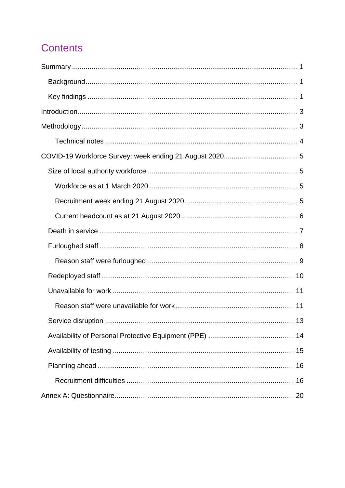# **Contents**

| 13 |  |
|----|--|
|    |  |
|    |  |
|    |  |
|    |  |
|    |  |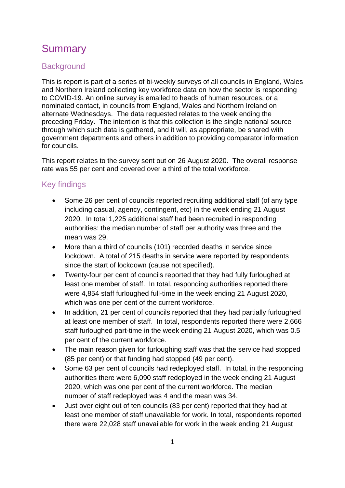# <span id="page-3-0"></span>**Summary**

## <span id="page-3-1"></span>**Background**

This is report is part of a series of bi-weekly surveys of all councils in England, Wales and Northern Ireland collecting key workforce data on how the sector is responding to COVID-19. An online survey is emailed to heads of human resources, or a nominated contact, in councils from England, Wales and Northern Ireland on alternate Wednesdays. The data requested relates to the week ending the preceding Friday. The intention is that this collection is the single national source through which such data is gathered, and it will, as appropriate, be shared with government departments and others in addition to providing comparator information for councils.

This report relates to the survey sent out on 26 August 2020. The overall response rate was 55 per cent and covered over a third of the total workforce.

## <span id="page-3-2"></span>Key findings

- Some 26 per cent of councils reported recruiting additional staff (of any type including casual, agency, contingent, etc) in the week ending 21 August 2020. In total 1,225 additional staff had been recruited in responding authorities: the median number of staff per authority was three and the mean was 29.
- More than a third of councils (101) recorded deaths in service since lockdown. A total of 215 deaths in service were reported by respondents since the start of lockdown (cause not specified).
- Twenty-four per cent of councils reported that they had fully furloughed at least one member of staff. In total, responding authorities reported there were 4,854 staff furloughed full-time in the week ending 21 August 2020, which was one per cent of the current workforce.
- In addition, 21 per cent of councils reported that they had partially furloughed at least one member of staff. In total, respondents reported there were 2,666 staff furloughed part-time in the week ending 21 August 2020, which was 0.5 per cent of the current workforce.
- The main reason given for furloughing staff was that the service had stopped (85 per cent) or that funding had stopped (49 per cent).
- Some 63 per cent of councils had redeployed staff. In total, in the responding authorities there were 6,090 staff redeployed in the week ending 21 August 2020, which was one per cent of the current workforce. The median number of staff redeployed was 4 and the mean was 34.
- Just over eight out of ten councils (83 per cent) reported that they had at least one member of staff unavailable for work. In total, respondents reported there were 22,028 staff unavailable for work in the week ending 21 August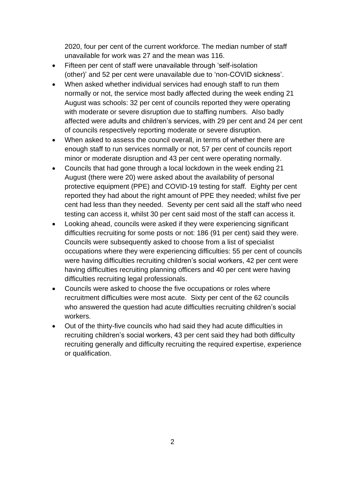2020, four per cent of the current workforce. The median number of staff unavailable for work was 27 and the mean was 116.

- Fifteen per cent of staff were unavailable through 'self-isolation (other)' and 52 per cent were unavailable due to 'non-COVID sickness'.
- When asked whether individual services had enough staff to run them normally or not, the service most badly affected during the week ending 21 August was schools: 32 per cent of councils reported they were operating with moderate or severe disruption due to staffing numbers. Also badly affected were adults and children's services, with 29 per cent and 24 per cent of councils respectively reporting moderate or severe disruption.
- When asked to assess the council overall, in terms of whether there are enough staff to run services normally or not, 57 per cent of councils report minor or moderate disruption and 43 per cent were operating normally.
- Councils that had gone through a local lockdown in the week ending 21 August (there were 20) were asked about the availability of personal protective equipment (PPE) and COVID-19 testing for staff. Eighty per cent reported they had about the right amount of PPE they needed; whilst five per cent had less than they needed. Seventy per cent said all the staff who need testing can access it, whilst 30 per cent said most of the staff can access it.
- Looking ahead, councils were asked if they were experiencing significant difficulties recruiting for some posts or not: 186 (91 per cent) said they were. Councils were subsequently asked to choose from a list of specialist occupations where they were experiencing difficulties: 55 per cent of councils were having difficulties recruiting children's social workers, 42 per cent were having difficulties recruiting planning officers and 40 per cent were having difficulties recruiting legal professionals.
- Councils were asked to choose the five occupations or roles where recruitment difficulties were most acute. Sixty per cent of the 62 councils who answered the question had acute difficulties recruiting children's social workers.
- Out of the thirty-five councils who had said they had acute difficulties in recruiting children's social workers, 43 per cent said they had both difficulty recruiting generally and difficulty recruiting the required expertise, experience or qualification.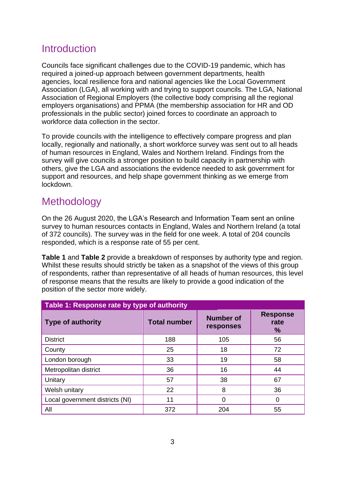# <span id="page-5-0"></span>**Introduction**

Councils face significant challenges due to the COVID-19 pandemic, which has required a joined-up approach between government departments, health agencies, local resilience fora and national agencies like the Local Government Association (LGA), all working with and trying to support councils. The LGA, National Association of Regional Employers (the collective body comprising all the regional employers organisations) and PPMA (the membership association for HR and OD professionals in the public sector) joined forces to coordinate an approach to workforce data collection in the sector.

To provide councils with the intelligence to effectively compare progress and plan locally, regionally and nationally, a short workforce survey was sent out to all heads of human resources in England, Wales and Northern Ireland. Findings from the survey will give councils a stronger position to build capacity in partnership with others, give the LGA and associations the evidence needed to ask government for support and resources, and help shape government thinking as we emerge from lockdown.

# <span id="page-5-1"></span>Methodology

On the 26 August 2020, the LGA's Research and Information Team sent an online survey to human resources contacts in England, Wales and Northern Ireland (a total of 372 councils). The survey was in the field for one week. A total of 204 councils responded, which is a response rate of 55 per cent.

**[Table 1](#page-5-2)** and **[Table 2](#page-6-1)** provide a breakdown of responses by authority type and region. Whilst these results should strictly be taken as a snapshot of the views of this group of respondents, rather than representative of all heads of human resources, this level of response means that the results are likely to provide a good indication of the position of the sector more widely.

<span id="page-5-2"></span>

| Table 1: Response rate by type of authority |                     |                               |                              |  |  |  |  |  |
|---------------------------------------------|---------------------|-------------------------------|------------------------------|--|--|--|--|--|
| <b>Type of authority</b>                    | <b>Total number</b> | <b>Number of</b><br>responses | <b>Response</b><br>rate<br>% |  |  |  |  |  |
| <b>District</b>                             | 188                 | 105                           | 56                           |  |  |  |  |  |
| County                                      | 25                  | 18                            | 72                           |  |  |  |  |  |
| London borough                              | 33                  | 19                            | 58                           |  |  |  |  |  |
| Metropolitan district                       | 36                  | 16                            | 44                           |  |  |  |  |  |
| Unitary                                     | 57                  | 38                            | 67                           |  |  |  |  |  |
| Welsh unitary                               | 22                  | 8                             | 36                           |  |  |  |  |  |
| Local government districts (NI)             | 11                  | $\Omega$                      |                              |  |  |  |  |  |
| All                                         | 372                 | 204                           | 55                           |  |  |  |  |  |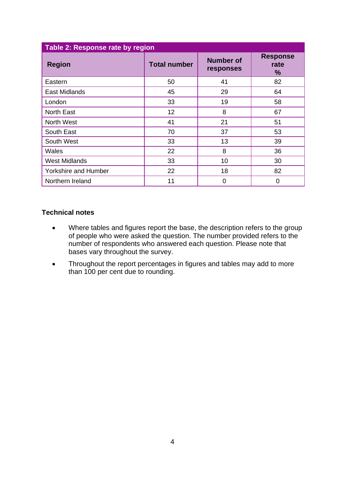<span id="page-6-1"></span>

| Table 2: Response rate by region |                                                      |    |                              |  |  |  |  |
|----------------------------------|------------------------------------------------------|----|------------------------------|--|--|--|--|
| <b>Region</b>                    | <b>Number of</b><br><b>Total number</b><br>responses |    | <b>Response</b><br>rate<br>% |  |  |  |  |
| Eastern                          | 50                                                   | 41 | 82                           |  |  |  |  |
| <b>East Midlands</b>             | 45                                                   | 29 | 64                           |  |  |  |  |
| London                           | 33                                                   | 19 | 58                           |  |  |  |  |
| <b>North East</b>                | 12                                                   | 8  | 67                           |  |  |  |  |
| North West                       | 41                                                   | 21 | 51                           |  |  |  |  |
| South East                       | 70                                                   | 37 | 53                           |  |  |  |  |
| South West                       | 33                                                   | 13 | 39                           |  |  |  |  |
| Wales                            | 22                                                   | 8  | 36                           |  |  |  |  |
| <b>West Midlands</b>             | 33                                                   | 10 | 30                           |  |  |  |  |
| <b>Yorkshire and Humber</b>      | 22                                                   | 18 | 82                           |  |  |  |  |
| Northern Ireland                 | 11                                                   | 0  | $\Omega$                     |  |  |  |  |

#### <span id="page-6-0"></span>**Technical notes**

- Where tables and figures report the base, the description refers to the group of people who were asked the question. The number provided refers to the number of respondents who answered each question. Please note that bases vary throughout the survey.
- Throughout the report percentages in figures and tables may add to more than 100 per cent due to rounding.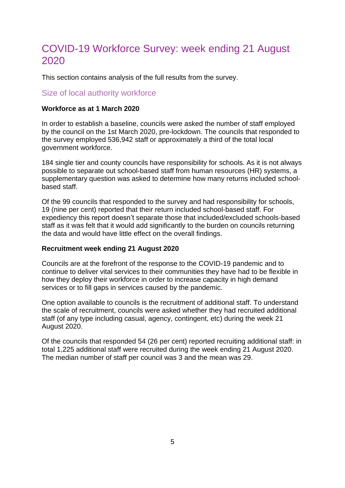# <span id="page-7-0"></span>COVID-19 Workforce Survey: week ending 21 August 2020

This section contains analysis of the full results from the survey.

### <span id="page-7-1"></span>Size of local authority workforce

#### <span id="page-7-2"></span>**Workforce as at 1 March 2020**

In order to establish a baseline, councils were asked the number of staff employed by the council on the 1st March 2020, pre-lockdown. The councils that responded to the survey employed 536,942 staff or approximately a third of the total local government workforce.

184 single tier and county councils have responsibility for schools. As it is not always possible to separate out school-based staff from human resources (HR) systems, a supplementary question was asked to determine how many returns included schoolbased staff.

Of the 99 councils that responded to the survey and had responsibility for schools, 19 (nine per cent) reported that their return included school-based staff. For expediency this report doesn't separate those that included/excluded schools-based staff as it was felt that it would add significantly to the burden on councils returning the data and would have little effect on the overall findings.

#### <span id="page-7-3"></span>**Recruitment week ending 21 August 2020**

Councils are at the forefront of the response to the COVID-19 pandemic and to continue to deliver vital services to their communities they have had to be flexible in how they deploy their workforce in order to increase capacity in high demand services or to fill gaps in services caused by the pandemic.

One option available to councils is the recruitment of additional staff. To understand the scale of recruitment, councils were asked whether they had recruited additional staff (of any type including casual, agency, contingent, etc) during the week 21 August 2020.

Of the councils that responded 54 (26 per cent) reported recruiting additional staff: in total 1,225 additional staff were recruited during the week ending 21 August 2020. The median number of staff per council was 3 and the mean was 29.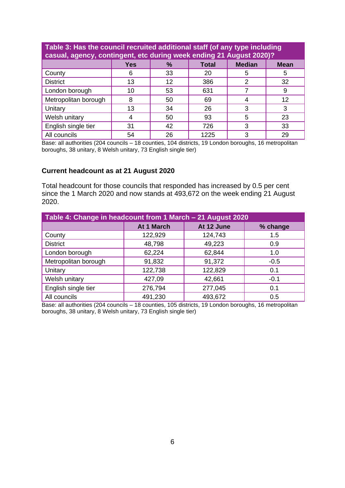| Table 3: Has the council recruited additional staff (of any type including<br>casual, agency, contingent, etc during week ending 21 August 2020)? |    |    |      |   |    |  |  |  |
|---------------------------------------------------------------------------------------------------------------------------------------------------|----|----|------|---|----|--|--|--|
| <b>Median</b><br><b>Yes</b><br>$\%$<br><b>Total</b><br><b>Mean</b>                                                                                |    |    |      |   |    |  |  |  |
| County                                                                                                                                            | 6  | 33 | 20   | 5 |    |  |  |  |
| <b>District</b>                                                                                                                                   | 13 | 12 | 386  | 2 | 32 |  |  |  |
| London borough                                                                                                                                    | 10 | 53 | 631  |   |    |  |  |  |
| Metropolitan borough                                                                                                                              | 8  | 50 | 69   |   | 12 |  |  |  |
| Unitary                                                                                                                                           | 13 | 34 | 26   | 3 |    |  |  |  |
| Welsh unitary                                                                                                                                     |    | 50 | 93   | 5 | 23 |  |  |  |
| English single tier                                                                                                                               | 31 | 42 | 726  | 3 | 33 |  |  |  |
| All councils                                                                                                                                      | 54 | 26 | 1225 | 3 | 29 |  |  |  |

Base: all authorities (204 councils – 18 counties, 104 districts, 19 London boroughs, 16 metropolitan boroughs, 38 unitary, 8 Welsh unitary, 73 English single tier)

#### <span id="page-8-0"></span>**Current headcount as at 21 August 2020**

Total headcount for those councils that responded has increased by 0.5 per cent since the 1 March 2020 and now stands at 493,672 on the week ending 21 August 2020.

| Table 4: Change in headcount from 1 March - 21 August 2020 |            |            |          |  |  |  |  |
|------------------------------------------------------------|------------|------------|----------|--|--|--|--|
|                                                            | At 1 March | At 12 June | % change |  |  |  |  |
| County                                                     | 122,929    | 124,743    | 1.5      |  |  |  |  |
| <b>District</b>                                            | 48,798     | 49,223     | 0.9      |  |  |  |  |
| London borough                                             | 62,224     | 62,844     | 1.0      |  |  |  |  |
| Metropolitan borough                                       | 91,832     | 91,372     | $-0.5$   |  |  |  |  |
| Unitary                                                    | 122,738    | 122,829    | 0.1      |  |  |  |  |
| Welsh unitary                                              | 427,09     | 42,661     | $-0.1$   |  |  |  |  |
| English single tier                                        | 276,794    | 277,045    | 0.1      |  |  |  |  |
| All councils                                               | 491,230    | 493,672    | 0.5      |  |  |  |  |

Base: all authorities (204 councils – 18 counties, 105 districts, 19 London boroughs, 16 metropolitan boroughs, 38 unitary, 8 Welsh unitary, 73 English single tier)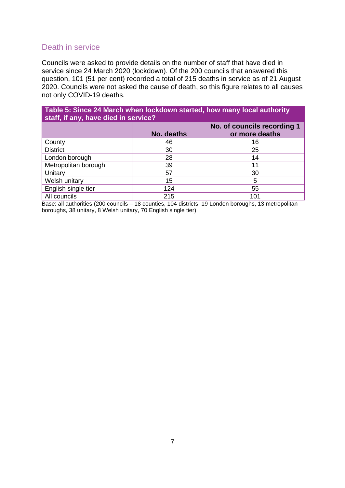## <span id="page-9-0"></span>Death in service

Councils were asked to provide details on the number of staff that have died in service since 24 March 2020 (lockdown). Of the 200 councils that answered this question, 101 (51 per cent) recorded a total of 215 deaths in service as of 21 August 2020. Councils were not asked the cause of death, so this figure relates to all causes not only COVID-19 deaths.

| Table 5: Since 24 March when lockdown started, how many local authority<br>staff, if any, have died in service? |            |                                               |  |  |  |  |
|-----------------------------------------------------------------------------------------------------------------|------------|-----------------------------------------------|--|--|--|--|
|                                                                                                                 | No. deaths | No. of councils recording 1<br>or more deaths |  |  |  |  |
| County                                                                                                          | 46         | 16                                            |  |  |  |  |
| <b>District</b>                                                                                                 | 30         | 25                                            |  |  |  |  |
| London borough                                                                                                  | 28         | 14                                            |  |  |  |  |
| Metropolitan borough                                                                                            | 39         | 11                                            |  |  |  |  |
| Unitary                                                                                                         | 57         | 30                                            |  |  |  |  |
| Welsh unitary                                                                                                   | 15         | 5                                             |  |  |  |  |
| English single tier                                                                                             | 124        | 55                                            |  |  |  |  |
| All councils                                                                                                    | 215        | 101                                           |  |  |  |  |

Base: all authorities (200 councils – 18 counties, 104 districts, 19 London boroughs, 13 metropolitan boroughs, 38 unitary, 8 Welsh unitary, 70 English single tier)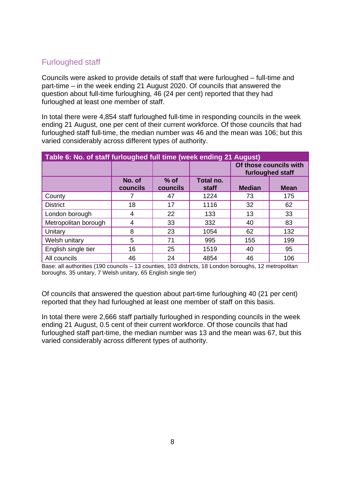# <span id="page-10-0"></span>Furloughed staff

Councils were asked to provide details of staff that were furloughed – full-time and part-time – in the week ending 21 August 2020. Of councils that answered the question about full-time furloughing, 46 (24 per cent) reported that they had furloughed at least one member of staff.

In total there were 4,854 staff furloughed full-time in responding councils in the week ending 21 August, one per cent of their current workforce. Of those councils that had furloughed staff full-time, the median number was 46 and the mean was 106; but this varied considerably across different types of authority.

| Table 6: No. of staff furloughed full time (week ending 21 August) |                    |                    |                    |               |                                            |  |  |
|--------------------------------------------------------------------|--------------------|--------------------|--------------------|---------------|--------------------------------------------|--|--|
|                                                                    |                    |                    |                    |               | Of those councils with<br>furloughed staff |  |  |
|                                                                    | No. of<br>councils | $%$ of<br>councils | Total no.<br>staff | <b>Median</b> | <b>Mean</b>                                |  |  |
| County                                                             |                    | 47                 | 1224               | 73            | 175                                        |  |  |
| <b>District</b>                                                    | 18                 | 17                 | 1116               | 32            | 62                                         |  |  |
| London borough                                                     | 4                  | 22                 | 133                | 13            | 33                                         |  |  |
| Metropolitan borough                                               | 4                  | 33                 | 332                | 40            | 83                                         |  |  |
| Unitary                                                            | 8                  | 23                 | 1054               | 62            | 132                                        |  |  |
| Welsh unitary                                                      | 5                  | 71                 | 995                | 155           | 199                                        |  |  |
| English single tier                                                | 16                 | 25                 | 1519               | 40            | 95                                         |  |  |
| All councils                                                       | 46                 | 24                 | 4854               | 46            | 106                                        |  |  |

Base: all authorities (190 councils – 13 counties, 103 districts, 18 London boroughs, 12 metropolitan boroughs, 35 unitary, 7 Welsh unitary, 65 English single tier)

Of councils that answered the question about part-time furloughing 40 (21 per cent) reported that they had furloughed at least one member of staff on this basis.

In total there were 2,666 staff partially furloughed in responding councils in the week ending 21 August, 0.5 cent of their current workforce. Of those councils that had furloughed staff part-time, the median number was 13 and the mean was 67, but this varied considerably across different types of authority.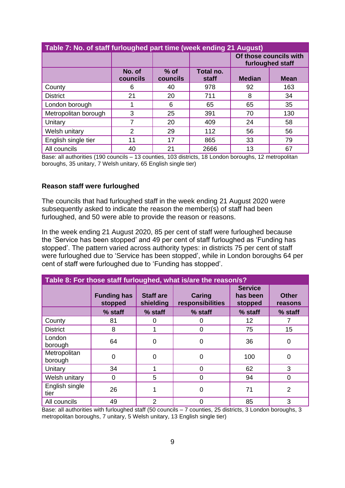| Table 7: No. of staff furloughed part time (week ending 21 August) |                    |                    |                    |               |                                            |  |  |
|--------------------------------------------------------------------|--------------------|--------------------|--------------------|---------------|--------------------------------------------|--|--|
|                                                                    |                    |                    |                    |               | Of those councils with<br>furloughed staff |  |  |
|                                                                    | No. of<br>councils | $%$ of<br>councils | Total no.<br>staff | <b>Median</b> | <b>Mean</b>                                |  |  |
| County                                                             | 6                  | 40                 | 978                | 92            | 163                                        |  |  |
| <b>District</b>                                                    | 21                 | 20                 | 711                | 8             | 34                                         |  |  |
| London borough                                                     |                    | 6                  | 65                 | 65            | 35                                         |  |  |
| Metropolitan borough                                               | 3                  | 25                 | 391                | 70            | 130                                        |  |  |
| Unitary                                                            |                    | 20                 | 409                | 24            | 58                                         |  |  |
| Welsh unitary                                                      | 2                  | 29                 | 112                | 56            | 56                                         |  |  |
| English single tier                                                | 11                 | 17                 | 865                | 33            | 79                                         |  |  |
| All councils                                                       | 40                 | 21                 | 2666               | 13            | 67                                         |  |  |

Base: all authorities (190 councils – 13 counties, 103 districts, 18 London boroughs, 12 metropolitan boroughs, 35 unitary, 7 Welsh unitary, 65 English single tier)

#### <span id="page-11-0"></span>**Reason staff were furloughed**

The councils that had furloughed staff in the week ending 21 August 2020 were subsequently asked to indicate the reason the member(s) of staff had been furloughed, and 50 were able to provide the reason or reasons.

In the week ending 21 August 2020, 85 per cent of staff were furloughed because the 'Service has been stopped' and 49 per cent of staff furloughed as 'Funding has stopped'. The pattern varied across authority types: in districts 75 per cent of staff were furloughed due to 'Service has been stopped', while in London boroughs 64 per cent of staff were furloughed due to 'Funding has stopped'.

| Table 8: For those staff furloughed, what is/are the reason/s? |                               |                               |                            |                                       |                         |  |  |  |
|----------------------------------------------------------------|-------------------------------|-------------------------------|----------------------------|---------------------------------------|-------------------------|--|--|--|
|                                                                | <b>Funding has</b><br>stopped | <b>Staff are</b><br>shielding | Caring<br>responsibilities | <b>Service</b><br>has been<br>stopped | <b>Other</b><br>reasons |  |  |  |
|                                                                | % staff                       | % staff                       | % staff                    | % staff                               | % staff                 |  |  |  |
| County                                                         | 81                            |                               | 0                          | 12                                    |                         |  |  |  |
| <b>District</b>                                                | 8                             |                               | 0                          | 75                                    | 15                      |  |  |  |
| London<br>borough                                              | 64                            | $\Omega$                      | 0                          | 36                                    | 0                       |  |  |  |
| Metropolitan<br>borough                                        | 0                             | 0                             | 0                          | 100                                   | ი                       |  |  |  |
| Unitary                                                        | 34                            |                               | 0                          | 62                                    | 3                       |  |  |  |
| Welsh unitary                                                  | 0                             | 5                             | 0                          | 94                                    | 0                       |  |  |  |
| English single<br>tier                                         | 26                            |                               | 0                          | 71                                    | 2                       |  |  |  |
| All councils                                                   | 49                            | 2                             | $\Omega$                   | 85                                    | 3                       |  |  |  |

Base: all authorities with furloughed staff (50 councils – 7 counties, 25 districts, 3 London boroughs, 3 metropolitan boroughs, 7 unitary, 5 Welsh unitary, 13 English single tier)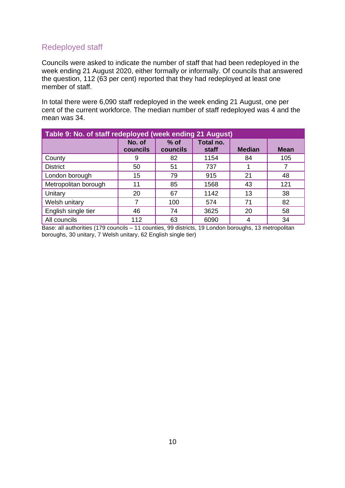# <span id="page-12-0"></span>Redeployed staff

Councils were asked to indicate the number of staff that had been redeployed in the week ending 21 August 2020, either formally or informally. Of councils that answered the question, 112 (63 per cent) reported that they had redeployed at least one member of staff.

In total there were 6,090 staff redeployed in the week ending 21 August, one per cent of the current workforce. The median number of staff redeployed was 4 and the mean was 34.

| Table 9: No. of staff redeployed (week ending 21 August) |                    |                    |                    |               |             |  |  |
|----------------------------------------------------------|--------------------|--------------------|--------------------|---------------|-------------|--|--|
|                                                          | No. of<br>councils | $%$ of<br>councils | Total no.<br>staff | <b>Median</b> | <b>Mean</b> |  |  |
| County                                                   | 9                  | 82                 | 1154               | 84            | 105         |  |  |
| <b>District</b>                                          | 50                 | 51                 | 737                |               |             |  |  |
| London borough                                           | 15                 | 79                 | 915                | 21            | 48          |  |  |
| Metropolitan borough                                     | 11                 | 85                 | 1568               | 43            | 121         |  |  |
| Unitary                                                  | 20                 | 67                 | 1142               | 13            | 38          |  |  |
| Welsh unitary                                            |                    | 100                | 574                | 71            | 82          |  |  |
| English single tier                                      | 46                 | 74                 | 3625               | 20            | 58          |  |  |
| All councils                                             | 112                | 63                 | 6090               |               | 34          |  |  |

Base: all authorities (179 councils – 11 counties, 99 districts, 19 London boroughs, 13 metropolitan boroughs, 30 unitary, 7 Welsh unitary, 62 English single tier)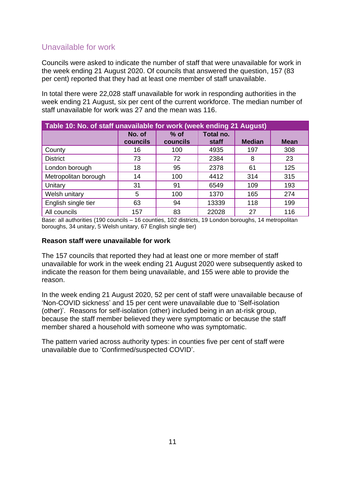# <span id="page-13-0"></span>Unavailable for work

Councils were asked to indicate the number of staff that were unavailable for work in the week ending 21 August 2020. Of councils that answered the question, 157 (83 per cent) reported that they had at least one member of staff unavailable.

In total there were 22,028 staff unavailable for work in responding authorities in the week ending 21 August, six per cent of the current workforce. The median number of staff unavailable for work was 27 and the mean was 116.

| Table 10: No. of staff unavailable for work (week ending 21 August) |                    |                    |                    |               |             |  |  |  |
|---------------------------------------------------------------------|--------------------|--------------------|--------------------|---------------|-------------|--|--|--|
|                                                                     | No. of<br>councils | $%$ of<br>councils | Total no.<br>staff | <b>Median</b> | <b>Mean</b> |  |  |  |
| County                                                              | 16                 | 100                | 4935               | 197           | 308         |  |  |  |
| <b>District</b>                                                     | 73                 | 72                 | 2384               | 8             | 23          |  |  |  |
| London borough                                                      | 18                 | 95                 | 2378               | 61            | 125         |  |  |  |
| Metropolitan borough                                                | 14                 | 100                | 4412               | 314           | 315         |  |  |  |
| Unitary                                                             | 31                 | 91                 | 6549               | 109           | 193         |  |  |  |
| Welsh unitary                                                       | 5                  | 100                | 1370               | 165           | 274         |  |  |  |
| English single tier                                                 | 63                 | 94                 | 13339              | 118           | 199         |  |  |  |
| All councils                                                        | 157                | 83                 | 22028              | 27            | 116         |  |  |  |

Base: all authorities (190 councils – 16 counties, 102 districts, 19 London boroughs, 14 metropolitan boroughs, 34 unitary, 5 Welsh unitary, 67 English single tier)

#### <span id="page-13-1"></span>**Reason staff were unavailable for work**

The 157 councils that reported they had at least one or more member of staff unavailable for work in the week ending 21 August 2020 were subsequently asked to indicate the reason for them being unavailable, and 155 were able to provide the reason.

In the week ending 21 August 2020, 52 per cent of staff were unavailable because of 'Non-COVID sickness' and 15 per cent were unavailable due to 'Self-isolation (other)'. Reasons for self-isolation (other) included being in an at-risk group, because the staff member believed they were symptomatic or because the staff member shared a household with someone who was symptomatic.

The pattern varied across authority types: in counties five per cent of staff were unavailable due to 'Confirmed/suspected COVID'.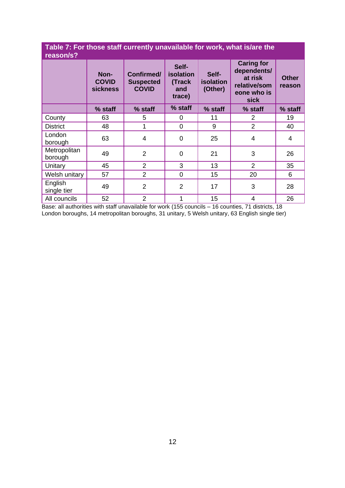#### **Table 7: For those staff currently unavailable for work, what is/are the reason/s?**

| 1645011/5 F             |                                         |                                                |                                                      |                               |                                                                                    |                        |
|-------------------------|-----------------------------------------|------------------------------------------------|------------------------------------------------------|-------------------------------|------------------------------------------------------------------------------------|------------------------|
|                         | Non-<br><b>COVID</b><br><b>sickness</b> | Confirmed/<br><b>Suspected</b><br><b>COVID</b> | Self-<br><b>isolation</b><br>(Track<br>and<br>trace) | Self-<br>isolation<br>(Other) | <b>Caring for</b><br>dependents/<br>at risk<br>relative/som<br>eone who is<br>sick | <b>Other</b><br>reason |
|                         | % staff                                 | % staff                                        | % staff                                              | % staff                       | % staff                                                                            | % staff                |
| County                  | 63                                      | 5                                              | 0                                                    | 11                            | 2                                                                                  | 19                     |
| <b>District</b>         | 48                                      |                                                | $\overline{0}$                                       | 9                             | $\overline{2}$                                                                     | 40                     |
| London<br>borough       | 63                                      | $\overline{4}$                                 | 0                                                    | 25                            | $\overline{4}$                                                                     | 4                      |
| Metropolitan<br>borough | 49                                      | $\overline{2}$                                 | $\overline{0}$                                       | 21                            | 3                                                                                  | 26                     |
| Unitary                 | 45                                      | $\overline{2}$                                 | 3                                                    | 13                            | $\overline{2}$                                                                     | 35                     |
| Welsh unitary           | 57                                      | $\overline{2}$                                 | $\mathbf 0$                                          | 15                            | 20                                                                                 | 6                      |
| English<br>single tier  | 49                                      | $\overline{2}$                                 | $\overline{2}$                                       | 17                            | 3                                                                                  | 28                     |
| All councils            | 52                                      | $\overline{2}$                                 | 1                                                    | 15                            | $\overline{4}$                                                                     | 26                     |

Base: all authorities with staff unavailable for work (155 councils - 16 counties, 71 districts, 18 London boroughs, 14 metropolitan boroughs, 31 unitary, 5 Welsh unitary, 63 English single tier)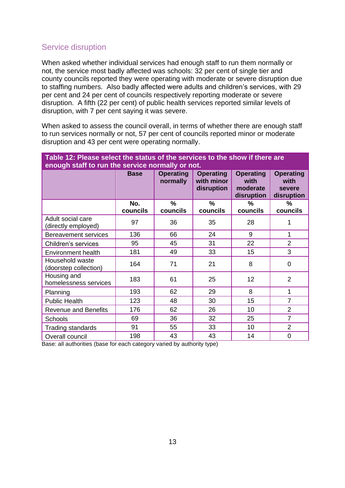## <span id="page-15-0"></span>Service disruption

When asked whether individual services had enough staff to run them normally or not, the service most badly affected was schools: 32 per cent of single tier and county councils reported they were operating with moderate or severe disruption due to staffing numbers. Also badly affected were adults and children's services, with 29 per cent and 24 per cent of councils respectively reporting moderate or severe disruption. A fifth (22 per cent) of public health services reported similar levels of disruption, with 7 per cent saying it was severe.

When asked to assess the council overall, in terms of whether there are enough staff to run services normally or not, 57 per cent of councils reported minor or moderate disruption and 43 per cent were operating normally.

**Table 12: Please select the status of the services to the show if there are** 

| <u>tho other of tho our rived to the onomination of the term of the set of the set of the set of the set of the </u><br>enough staff to run the service normally or not. |                 |                              |                                              |                                                    |                                                  |  |
|--------------------------------------------------------------------------------------------------------------------------------------------------------------------------|-----------------|------------------------------|----------------------------------------------|----------------------------------------------------|--------------------------------------------------|--|
|                                                                                                                                                                          | <b>Base</b>     | <b>Operating</b><br>normally | <b>Operating</b><br>with minor<br>disruption | <b>Operating</b><br>with<br>moderate<br>disruption | <b>Operating</b><br>with<br>severe<br>disruption |  |
|                                                                                                                                                                          | No.<br>councils | %<br>councils                | $\%$<br>councils                             | $\frac{9}{6}$<br>councils                          | %<br>councils                                    |  |
| Adult social care<br>(directly employed)                                                                                                                                 | 97              | 36                           | 35                                           | 28                                                 | 1                                                |  |
| <b>Bereavement services</b>                                                                                                                                              | 136             | 66                           | 24                                           | 9                                                  | 1                                                |  |
| Children's services                                                                                                                                                      | 95              | 45                           | 31                                           | 22                                                 | $\overline{2}$                                   |  |
| <b>Environment health</b>                                                                                                                                                | 181             | 49                           | 33                                           | 15                                                 | 3                                                |  |
| Household waste<br>(doorstep collection)                                                                                                                                 | 164             | 71                           | 21                                           | 8                                                  | $\mathbf 0$                                      |  |
| Housing and<br>homelessness services                                                                                                                                     | 183             | 61                           | 25                                           | 12                                                 | $\overline{2}$                                   |  |
| Planning                                                                                                                                                                 | 193             | 62                           | 29                                           | 8                                                  | 1                                                |  |
| <b>Public Health</b>                                                                                                                                                     | 123             | 48                           | 30                                           | 15                                                 | $\overline{7}$                                   |  |
| <b>Revenue and Benefits</b>                                                                                                                                              | 176             | 62                           | 26                                           | 10                                                 | $\overline{2}$                                   |  |
| Schools                                                                                                                                                                  | 69              | 36                           | 32                                           | 25                                                 | $\overline{7}$                                   |  |
| <b>Trading standards</b>                                                                                                                                                 | 91              | 55                           | 33                                           | 10                                                 | $\overline{2}$                                   |  |
| Overall council                                                                                                                                                          | 198             | 43                           | 43                                           | 14                                                 | 0                                                |  |

Base: all authorities (base for each category varied by authority type)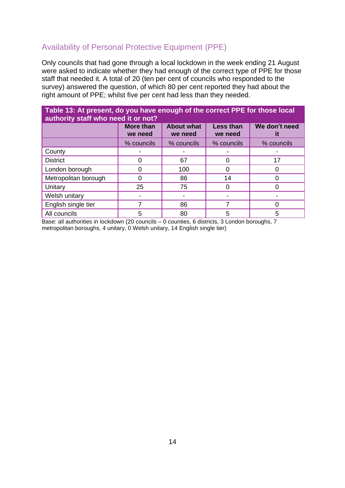# <span id="page-16-0"></span>Availability of Personal Protective Equipment (PPE)

Only councils that had gone through a local lockdown in the week ending 21 August were asked to indicate whether they had enough of the correct type of PPE for those staff that needed it. A total of 20 (ten per cent of councils who responded to the survey) answered the question, of which 80 per cent reported they had about the right amount of PPE; whilst five per cent had less than they needed.

| Table 13: At present, do you have enough of the correct PPE for those local<br>authority staff who need it or not? |                             |                              |                             |               |  |  |
|--------------------------------------------------------------------------------------------------------------------|-----------------------------|------------------------------|-----------------------------|---------------|--|--|
|                                                                                                                    | <b>More than</b><br>we need | <b>About what</b><br>we need | <b>Less than</b><br>we need | We don't need |  |  |
|                                                                                                                    | % councils                  | % councils                   | % councils                  | % councils    |  |  |
| County                                                                                                             |                             |                              |                             |               |  |  |
| <b>District</b>                                                                                                    | 0                           | 67                           |                             | 17            |  |  |
| London borough                                                                                                     | 0                           | 100                          | O                           |               |  |  |
| Metropolitan borough                                                                                               | 0                           | 86                           | 14                          |               |  |  |
| Unitary                                                                                                            | 25                          | 75                           | 0                           |               |  |  |
| Welsh unitary                                                                                                      |                             |                              |                             |               |  |  |
| English single tier                                                                                                |                             | 86                           |                             |               |  |  |
| All councils                                                                                                       | 5                           | 80                           | 5                           | 5             |  |  |

Base: all authorities in lockdown (20 councils – 0 counties, 6 districts, 3 London boroughs, 7 metropolitan boroughs, 4 unitary, 0 Welsh unitary, 14 English single tier)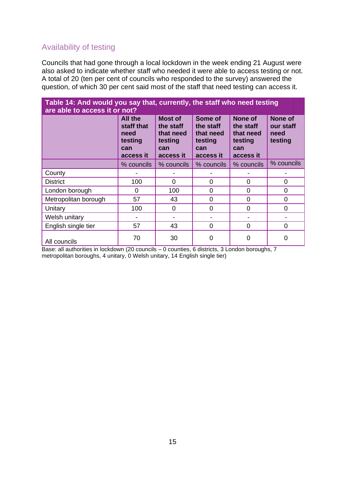# <span id="page-17-0"></span>Availability of testing

Councils that had gone through a local lockdown in the week ending 21 August were also asked to indicate whether staff who needed it were able to access testing or not. A total of 20 (ten per cent of councils who responded to the survey) answered the question, of which 30 per cent said most of the staff that need testing can access it.

| Table 14: And would you say that, currently, the staff who need testing<br>are able to access it or not? |                                                                     |                                                                  |                                                                  |                                                                  |                                         |
|----------------------------------------------------------------------------------------------------------|---------------------------------------------------------------------|------------------------------------------------------------------|------------------------------------------------------------------|------------------------------------------------------------------|-----------------------------------------|
|                                                                                                          | <b>All the</b><br>staff that<br>need<br>testing<br>can<br>access it | Most of<br>the staff<br>that need<br>testing<br>can<br>access it | Some of<br>the staff<br>that need<br>testing<br>can<br>access it | None of<br>the staff<br>that need<br>testing<br>can<br>access it | None of<br>our staff<br>need<br>testing |
|                                                                                                          | % councils                                                          | % councils                                                       | % councils                                                       | % councils                                                       | % councils                              |
| County                                                                                                   |                                                                     |                                                                  |                                                                  |                                                                  |                                         |
| <b>District</b>                                                                                          | 100                                                                 | $\Omega$                                                         | $\Omega$                                                         | $\Omega$                                                         | $\Omega$                                |
| London borough                                                                                           | 0                                                                   | 100                                                              | 0                                                                | $\Omega$                                                         | $\Omega$                                |
| Metropolitan borough                                                                                     | 57                                                                  | 43                                                               | 0                                                                | $\Omega$                                                         | 0                                       |
| Unitary                                                                                                  | 100                                                                 | $\Omega$                                                         | $\overline{0}$                                                   | $\Omega$                                                         | $\Omega$                                |
| Welsh unitary                                                                                            |                                                                     |                                                                  |                                                                  |                                                                  |                                         |
| English single tier                                                                                      | 57                                                                  | 43                                                               | $\overline{0}$                                                   | $\Omega$                                                         | 0                                       |
| All councils                                                                                             | 70                                                                  | 30                                                               | 0                                                                |                                                                  | 0                                       |

Base: all authorities in lockdown (20 councils - 0 counties, 6 districts, 3 London boroughs, 7 metropolitan boroughs, 4 unitary, 0 Welsh unitary, 14 English single tier)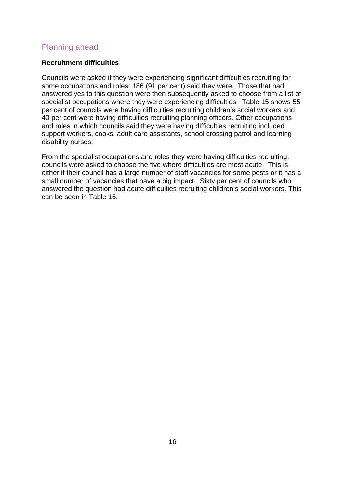## <span id="page-18-0"></span>Planning ahead

#### <span id="page-18-1"></span>**Recruitment difficulties**

Councils were asked if they were experiencing significant difficulties recruiting for some occupations and roles: 186 (91 per cent) said they were. Those that had answered yes to this question were then subsequently asked to choose from a list of specialist occupations where they were experiencing difficulties. Table 15 shows 55 per cent of councils were having difficulties recruiting children's social workers and 40 per cent were having difficulties recruiting planning officers. Other occupations and roles in which councils said they were having difficulties recruiting included support workers, cooks, adult care assistants, school crossing patrol and learning disability nurses.

From the specialist occupations and roles they were having difficulties recruiting, councils were asked to choose the five where difficulties are most acute. This is either if their council has a large number of staff vacancies for some posts or it has a small number of vacancies that have a big impact. Sixty per cent of councils who answered the question had acute difficulties recruiting children's social workers. This can be seen in Table 16.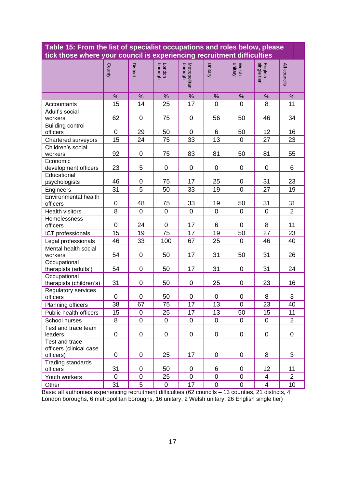| Table 15: From the list of specialist occupations and roles below, please<br>tick those where your council is experiencing recruitment difficulties |                 |                 |                   |                          |                 |                  |                        |                |
|-----------------------------------------------------------------------------------------------------------------------------------------------------|-----------------|-----------------|-------------------|--------------------------|-----------------|------------------|------------------------|----------------|
|                                                                                                                                                     | County          | <b>District</b> | London<br>borough | Metropolitan<br>borough  | Unitary         | Welsh<br>unitary | English<br>single tier | All councils   |
|                                                                                                                                                     | %               | %               | %                 | $\overline{\frac{9}{6}}$ | $\%$            | %                | %                      | %              |
| Accountants                                                                                                                                         | 15              | 14              | 25                | 17                       | $\mathbf 0$     | $\overline{0}$   | 8                      | 11             |
| Adult's social<br>workers                                                                                                                           | 62              | 0               | 75                | $\mathsf 0$              | 56              | 50               | 46                     | 34             |
| <b>Building control</b><br>officers                                                                                                                 | $\overline{0}$  | 29              | 50                | $\mathbf 0$              | 6               | 50               | 12                     | 16             |
| Chartered surveyors                                                                                                                                 | 15              | 24              | 75                | 33                       | 13              | $\mathbf 0$      | 27                     | 23             |
| Children's social<br>workers                                                                                                                        | 92              | 0               | 75                | 83                       | 81              | 50               | 81                     | 55             |
| Economic<br>development officers                                                                                                                    | 23              | 5               | 0                 | $\pmb{0}$                | 0               | 0                | 0                      | 6              |
| Educational<br>psychologists                                                                                                                        | 46              | 0               | 75                | 17                       | 25              | 0                | 31                     | 23             |
| Engineers                                                                                                                                           | 31              | 5               | 50                | 33                       | 19              | $\mathbf 0$      | 27                     | 19             |
| Environmental health<br>officers                                                                                                                    | $\mathbf 0$     | 48              | 75                | 33                       | 19              | 50               | 31                     | 31             |
| Health visitors                                                                                                                                     | 8               | $\overline{0}$  | $\overline{0}$    | $\mathbf 0$              | $\mathbf 0$     | $\mathbf 0$      | $\mathbf 0$            | $\overline{2}$ |
| Homelessness<br>officers                                                                                                                            | $\mathbf 0$     | 24              | 0                 | 17                       | 6               | $\overline{0}$   | 8                      | 11             |
| ICT professionals                                                                                                                                   | 15              | 19              | 75                | 17                       | 19              | 50               | 27                     | 23             |
| Legal professionals                                                                                                                                 | 46              | 33              | 100               | 67                       | 25              | $\mathbf 0$      | 46                     | 40             |
| Mental health social<br>workers                                                                                                                     | 54              | 0               | 50                | 17                       | 31              | 50               | 31                     | 26             |
| Occupational<br>therapists (adults')                                                                                                                | 54              | 0               | 50                | 17                       | 31              | $\mathbf 0$      | 31                     | 24             |
| Occupational<br>therapists (children's)                                                                                                             | 31              | 0               | 50                | 0                        | 25              | $\mathbf 0$      | 23                     | 16             |
| Regulatory services<br>officers                                                                                                                     | 0               | 0               | 50                | 0                        | 0               | 0                | 8                      | 3              |
| Planning officers                                                                                                                                   | $\overline{38}$ | 67              | $\overline{75}$   | $\overline{17}$          | $\overline{13}$ | $\boldsymbol{0}$ | $\overline{23}$        | 40             |
| Public health officers                                                                                                                              | 15              | 0               | 25                | 17                       | 13              | 50               | 15                     | 11             |
| School nurses                                                                                                                                       | 8               | $\mathbf 0$     | $\mathbf 0$       | 0                        | $\pmb{0}$       | $\mathbf 0$      | 0                      | $\overline{2}$ |
| Test and trace team<br>leaders                                                                                                                      | 0               | 0               | 0                 | 0                        | 0               | 0                | 0                      | 0              |
| Test and trace<br>officers (clinical case<br>officers)                                                                                              | 0               | 0               | 25                | 17                       | 0               | 0                | 8                      | 3              |
| Trading standards<br>officers                                                                                                                       | 31              | 0               | 50                | 0                        | 6               | 0                | 12                     | 11             |
| Youth workers                                                                                                                                       | $\mathbf 0$     | 0               | 25                | $\mathbf 0$              | $\pmb{0}$       | 0                | 4                      | $\overline{2}$ |
| Other                                                                                                                                               | 31              | $\overline{5}$  | $\overline{0}$    | 17                       | $\pmb{0}$       | $\mathbf 0$      | $\overline{4}$         | 10             |

# **Table 15: From the list of specialist occupations and roles below, please**

Base: all authorities experiencing recruitment difficulties (62 councils – 13 counties, 21 districts, 4 London boroughs, 6 metropolitan boroughs, 16 unitary, 2 Welsh unitary, 26 English single tier)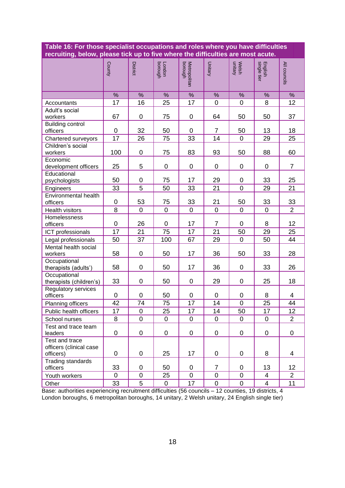| Table 16: For those specialist occupations and roles where you have difficulties<br>recruiting, below, please tick up to five where the difficulties are most acute. |             |                 |                   |                         |                |                  |                         |                |
|----------------------------------------------------------------------------------------------------------------------------------------------------------------------|-------------|-----------------|-------------------|-------------------------|----------------|------------------|-------------------------|----------------|
|                                                                                                                                                                      | County      | <b>District</b> | London<br>borough | Metropolitan<br>borough | <b>Unitary</b> | Welsh<br>unitary | English<br>single tier  | All councils   |
|                                                                                                                                                                      | %           | %               | %                 | %                       | %              | %                | %                       | %              |
| Accountants                                                                                                                                                          | 17          | 16              | 25                | 17                      | 0              | 0                | 8                       | 12             |
| Adult's social<br>workers                                                                                                                                            | 67          | $\pmb{0}$       | 75                | $\mathsf 0$             | 64             | 50               | 50                      | 37             |
| <b>Building control</b><br>officers                                                                                                                                  | $\mathbf 0$ | 32              | 50                | $\mathbf 0$             | $\overline{7}$ | 50               | 13                      | 18             |
| Chartered surveyors                                                                                                                                                  | 17          | 26              | 75                | 33                      | 14             | $\overline{0}$   | 29                      | 25             |
| Children's social<br>workers                                                                                                                                         | 100         | 0               | 75                | 83                      | 93             | 50               | 88                      | 60             |
| Economic<br>development officers                                                                                                                                     | 25          | 5               | $\mathbf 0$       | 0                       | 0              | 0                | 0                       | $\overline{7}$ |
| Educational<br>psychologists                                                                                                                                         | 50          | 0               | 75                | 17                      | 29             | 0                | 33                      | 25             |
| Engineers                                                                                                                                                            | 33          | 5               | 50                | 33                      | 21             | $\overline{0}$   | 29                      | 21             |
| Environmental health<br>officers                                                                                                                                     | 0           | 53              | 75                | 33                      | 21             | 50               | 33                      | 33             |
| Health visitors                                                                                                                                                      | 8           | $\overline{0}$  | $\overline{0}$    | $\mathbf 0$             | $\mathbf 0$    | $\mathbf 0$      | $\overline{0}$          | $\overline{2}$ |
| Homelessness<br>officers                                                                                                                                             | $\mathbf 0$ | 26              | $\mathbf 0$       | 17                      | $\overline{7}$ | 0                | 8                       | 12             |
| ICT professionals                                                                                                                                                    | 17          | 21              | 75                | 17                      | 21             | 50               | 29                      | 25             |
| Legal professionals                                                                                                                                                  | 50          | 37              | 100               | 67                      | 29             | $\mathbf 0$      | 50                      | 44             |
| Mental health social<br>workers                                                                                                                                      | 58          | $\mathbf 0$     | 50                | 17                      | 36             | 50               | 33                      | 28             |
| Occupational<br>therapists (adults')                                                                                                                                 | 58          | 0               | 50                | 17                      | 36             | 0                | 33                      | 26             |
| Occupational<br>therapists (children's)                                                                                                                              | 33          | $\mathbf 0$     | 50                | 0                       | 29             | 0                | 25                      | 18             |
| Regulatory services<br>officers                                                                                                                                      | 0           | 0               | 50                | 0                       | 0              | 0                | 8                       | 4              |
| Planning officers                                                                                                                                                    | 42          | 74              | 75                | 17                      | 14             | $\mathsf 0$      | 25                      | 44             |
| Public health officers                                                                                                                                               | 17          | $\mathbf 0$     | 25                | 17                      | 14             | 50               | 17                      | 12             |
| School nurses                                                                                                                                                        | 8           | $\pmb{0}$       | $\pmb{0}$         | 0                       | 0              | $\mathbf 0$      | $\pmb{0}$               | $\overline{2}$ |
| Test and trace team<br>leaders                                                                                                                                       | 0           | $\pmb{0}$       | 0                 | 0                       | 0              | 0                | $\pmb{0}$               | 0              |
| Test and trace<br>officers (clinical case<br>officers)                                                                                                               | $\mathbf 0$ | $\pmb{0}$       | 25                | 17                      | 0              | 0                | 8                       | 4              |
| Trading standards<br>officers                                                                                                                                        | 33          | 0               | 50                | 0                       | $\overline{7}$ | $\mathbf 0$      | 13                      | 12             |
| Youth workers                                                                                                                                                        | $\mathbf 0$ | $\mathsf 0$     | 25                | 0                       | $\pmb{0}$      | 0                | $\overline{\mathbf{4}}$ | $\overline{2}$ |
| Other                                                                                                                                                                | 33          | $\overline{5}$  | $\mathbf 0$       | 17                      | 0              | $\mathbf 0$      | $\overline{4}$          | 11             |

Base: authorities experiencing recruitment difficulties (56 councils – 12 counties, 19 districts, 4 London boroughs, 6 metropolitan boroughs, 14 unitary, 2 Welsh unitary, 24 English single tier)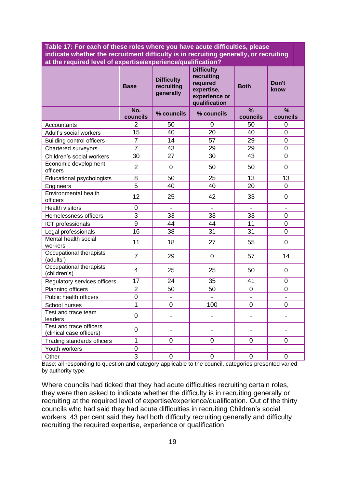**Table 17: For each of these roles where you have acute difficulties, please indicate whether the recruitment difficulty is in recruiting generally, or recruiting at the required level of expertise/experience/qualification?**

|                                                     | <b>Base</b>              | <b>Difficulty</b><br>recruiting<br>generally | <b>Difficulty</b><br>recruiting<br>required<br>expertise,<br>experience or<br>qualification | <b>Both</b>      | Don't<br>know             |
|-----------------------------------------------------|--------------------------|----------------------------------------------|---------------------------------------------------------------------------------------------|------------------|---------------------------|
|                                                     | No.<br>councils          | % councils                                   | % councils                                                                                  | $\%$<br>councils | $\frac{9}{6}$<br>councils |
| Accountants                                         | 2                        | 50                                           | 0                                                                                           | 50               | 0                         |
| Adult's social workers                              | 15                       | 40                                           | 20                                                                                          | 40               | $\overline{0}$            |
| <b>Building control officers</b>                    | $\overline{7}$           | 14                                           | 57                                                                                          | 29               | $\overline{0}$            |
| Chartered surveyors                                 | $\overline{7}$           | 43                                           | 29                                                                                          | 29               | $\overline{0}$            |
| Children's social workers                           | 30                       | 27                                           | 30                                                                                          | 43               | 0                         |
| Economic development<br>officers                    | $\overline{2}$           | $\mathbf 0$                                  | 50                                                                                          | 50               | $\mathbf 0$               |
| Educational psychologists                           | 8                        | 50                                           | 25                                                                                          | 13               | 13                        |
| Engineers                                           | $\overline{5}$           | 40                                           | 40                                                                                          | 20               | $\overline{0}$            |
| <b>Environmental health</b><br>officers             | 12                       | 25                                           | 42                                                                                          | 33               | $\overline{0}$            |
| <b>Health visitors</b>                              | $\mathbf 0$              | $\blacksquare$                               | $\blacksquare$                                                                              |                  |                           |
| Homelessness officers                               | 3                        | 33                                           | 33                                                                                          | 33               | 0                         |
| ICT professionals                                   | 9                        | 44                                           | 44                                                                                          | 11               | 0                         |
| Legal professionals                                 | 16                       | 38                                           | 31                                                                                          | 31               | $\overline{0}$            |
| <b>Mental health social</b><br>workers              | 11                       | 18                                           | 27                                                                                          | 55               | $\overline{0}$            |
| Occupational therapists<br>(adults')                | $\overline{7}$           | 29                                           | 0                                                                                           | 57               | 14                        |
| Occupational therapists<br>(children's)             | $\overline{\mathcal{A}}$ | 25                                           | 25                                                                                          | 50               | $\overline{0}$            |
| Regulatory services officers                        | 17                       | 24                                           | 35                                                                                          | 41               | $\overline{0}$            |
| <b>Planning officers</b>                            | $\overline{2}$           | 50                                           | 50                                                                                          | $\overline{0}$   | 0                         |
| Public health officers                              | $\overline{0}$           | $\overline{a}$                               |                                                                                             |                  |                           |
| School nurses                                       | $\overline{1}$           | 0                                            | 100                                                                                         | 0                | 0                         |
| Test and trace team<br>leaders                      | $\overline{0}$           |                                              |                                                                                             |                  |                           |
| Test and trace officers<br>(clinical case officers) | $\overline{0}$           | $\overline{\phantom{a}}$                     | $\overline{\phantom{0}}$                                                                    | $\overline{a}$   |                           |
| Trading standards officers                          | $\mathbf{1}$             | 0                                            | 0                                                                                           | 0                | 0                         |
| Youth workers                                       | $\mathbf 0$              | $\overline{a}$                               | $\overline{a}$                                                                              | $\overline{a}$   |                           |
| Other                                               | 3                        | $\overline{0}$                               | $\overline{0}$                                                                              | $\overline{0}$   | $\overline{0}$            |

Base: all responding to question and category applicable to the council, categories presented varied by authority type.

Where councils had ticked that they had acute difficulties recruiting certain roles, they were then asked to indicate whether the difficulty is in recruiting generally or recruiting at the required level of expertise/experience/qualification. Out of the thirty councils who had said they had acute difficulties in recruiting Children's social workers, 43 per cent said they had both difficulty recruiting generally and difficulty recruiting the required expertise, experience or qualification.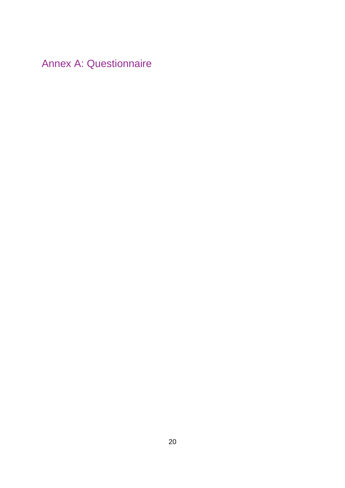<span id="page-22-0"></span>Annex A: Questionnaire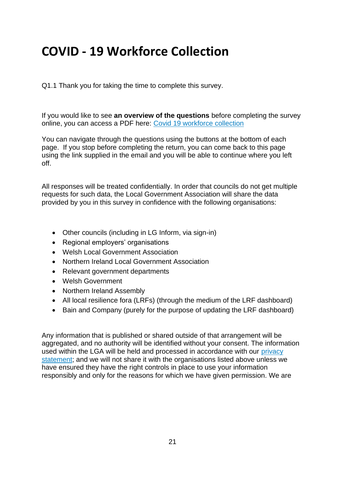# **COVID - 19 Workforce Collection**

Q1.1 Thank you for taking the time to complete this survey.

If you would like to see **an overview of the questions** before completing the survey online, you can access a PDF here: [Covid 19 workforce collection](https://research.local.gov.uk/CP/File.php?F=F_dnhnwncdI5Ss4Lj)

You can navigate through the questions using the buttons at the bottom of each page. If you stop before completing the return, you can come back to this page using the link supplied in the email and you will be able to continue where you left off.

All responses will be treated confidentially. In order that councils do not get multiple requests for such data, the Local Government Association will share the data provided by you in this survey in confidence with the following organisations:

- Other councils (including in LG Inform, via sign-in)
- Regional employers' organisations
- Welsh Local Government Association
- Northern Ireland Local Government Association
- Relevant government departments
- Welsh Government
- Northern Ireland Assembly
- All local resilience fora (LRFs) (through the medium of the LRF dashboard)
- Bain and Company (purely for the purpose of updating the LRF dashboard)

Any information that is published or shared outside of that arrangement will be aggregated, and no authority will be identified without your consent. The information used within the LGA will be held and processed in accordance with our [privacy](https://www.local.gov.uk/privacy-policy-0)  [statement;](https://www.local.gov.uk/privacy-policy-0) and we will not share it with the organisations listed above unless we have ensured they have the right controls in place to use your information responsibly and only for the reasons for which we have given permission. We are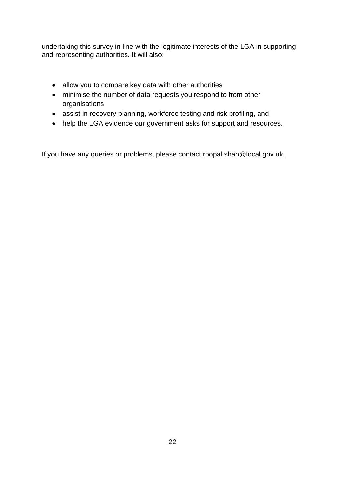undertaking this survey in line with the legitimate interests of the LGA in supporting and representing authorities. It will also:

- allow you to compare key data with other authorities
- minimise the number of data requests you respond to from other organisations
- assist in recovery planning, workforce testing and risk profiling, and
- help the LGA evidence our government asks for support and resources.

If you have any queries or problems, please contact roopal.shah@local.gov.uk.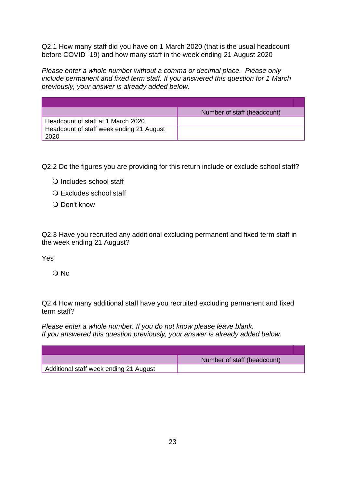Q2.1 How many staff did you have on 1 March 2020 (that is the usual headcount before COVID -19) and how many staff in the week ending 21 August 2020

*Please enter a whole number without a comma or decimal place. Please only include permanent and fixed term staff. If you answered this question for 1 March previously, your answer is already added below.*

|                                                  | Number of staff (headcount) |
|--------------------------------------------------|-----------------------------|
| Headcount of staff at 1 March 2020               |                             |
| Headcount of staff week ending 21 August<br>2020 |                             |

Q2.2 Do the figures you are providing for this return include or exclude school staff?

- O Includes school staff
- O Excludes school staff
- O Don't know

Q2.3 Have you recruited any additional excluding permanent and fixed term staff in the week ending 21 August?

Yes

O No

Q2.4 How many additional staff have you recruited excluding permanent and fixed term staff?

*Please enter a whole number. If you do not know please leave blank. If you answered this question previously, your answer is already added below.*

|                                        | Number of staff (headcount) |
|----------------------------------------|-----------------------------|
| Additional staff week ending 21 August |                             |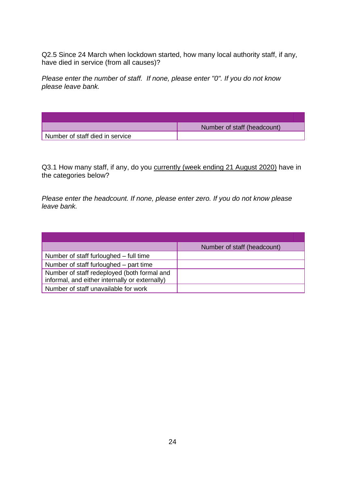Q2.5 Since 24 March when lockdown started, how many local authority staff, if any, have died in service (from all causes)?

*Please enter the number of staff. If none, please enter "0". If you do not know please leave bank.*

|                                 | Number of staff (headcount) |
|---------------------------------|-----------------------------|
| Number of staff died in service |                             |

Q3.1 How many staff, if any, do you currently (week ending 21 August 2020) have in the categories below?

*Please enter the headcount. If none, please enter zero. If you do not know please leave bank.*

|                                                                                               | Number of staff (headcount) |
|-----------------------------------------------------------------------------------------------|-----------------------------|
| Number of staff furloughed – full time                                                        |                             |
| Number of staff furloughed – part time                                                        |                             |
| Number of staff redeployed (both formal and<br>informal, and either internally or externally) |                             |
| Number of staff unavailable for work                                                          |                             |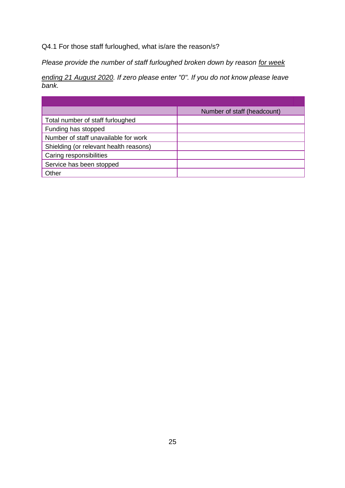## Q4.1 For those staff furloughed, what is/are the reason/s?

*Please provide the number of staff furloughed broken down by reason for week* 

*ending 21 August 2020. If zero please enter "0". If you do not know please leave bank.*

|                                        | Number of staff (headcount) |
|----------------------------------------|-----------------------------|
| Total number of staff furloughed       |                             |
| Funding has stopped                    |                             |
| Number of staff unavailable for work   |                             |
| Shielding (or relevant health reasons) |                             |
| Caring responsibilities                |                             |
| Service has been stopped               |                             |
| Other                                  |                             |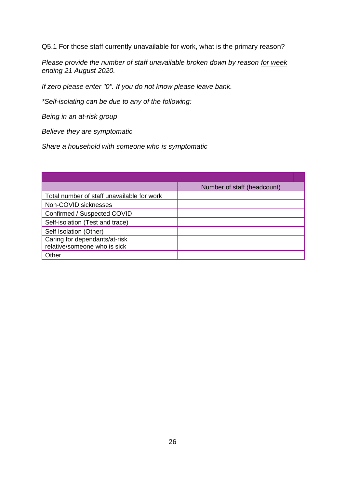Q5.1 For those staff currently unavailable for work, what is the primary reason?

*Please provide the number of staff unavailable broken down by reason for week ending 21 August 2020.*

*If zero please enter "0". If you do not know please leave bank.*

*\*Self-isolating can be due to any of the following:* 

*Being in an at-risk group*

*Believe they are symptomatic*

*Share a household with someone who is symptomatic*

|                                                               | Number of staff (headcount) |
|---------------------------------------------------------------|-----------------------------|
| Total number of staff unavailable for work                    |                             |
| Non-COVID sicknesses                                          |                             |
| Confirmed / Suspected COVID                                   |                             |
| Self-isolation (Test and trace)                               |                             |
| Self Isolation (Other)                                        |                             |
| Caring for dependants/at-risk<br>relative/someone who is sick |                             |
| Other                                                         |                             |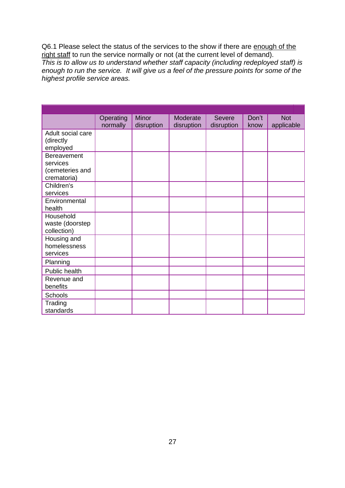Q6.1 Please select the status of the services to the show if there are enough of the right staff to run the service normally or not (at the current level of demand). *This is to allow us to understand whether staff capacity (including redeployed staff) is enough to run the service. It will give us a feel of the pressure points for some of the highest profile service areas.*

|                                | Operating | Minor      | Moderate   | <b>Severe</b> | Don't | <b>Not</b> |
|--------------------------------|-----------|------------|------------|---------------|-------|------------|
| Adult social care              | normally  | disruption | disruption | disruption    | know  | applicable |
| (directly                      |           |            |            |               |       |            |
| employed                       |           |            |            |               |       |            |
| <b>Bereavement</b>             |           |            |            |               |       |            |
| services                       |           |            |            |               |       |            |
| (cemeteries and<br>crematoria) |           |            |            |               |       |            |
| Children's                     |           |            |            |               |       |            |
| services                       |           |            |            |               |       |            |
| Environmental                  |           |            |            |               |       |            |
| health                         |           |            |            |               |       |            |
| Household                      |           |            |            |               |       |            |
| waste (doorstep<br>collection) |           |            |            |               |       |            |
| Housing and                    |           |            |            |               |       |            |
| homelessness                   |           |            |            |               |       |            |
| services                       |           |            |            |               |       |            |
| Planning                       |           |            |            |               |       |            |
| Public health                  |           |            |            |               |       |            |
| Revenue and                    |           |            |            |               |       |            |
| benefits                       |           |            |            |               |       |            |
| Schools                        |           |            |            |               |       |            |
| Trading                        |           |            |            |               |       |            |
| standards                      |           |            |            |               |       |            |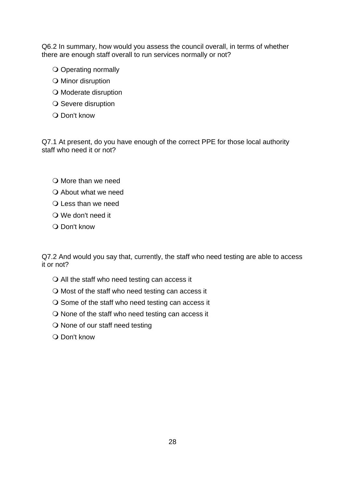Q6.2 In summary, how would you assess the council overall, in terms of whether there are enough staff overall to run services normally or not?

- O Operating normally
- O Minor disruption
- O Moderate disruption
- O Severe disruption
- O Don't know

Q7.1 At present, do you have enough of the correct PPE for those local authority staff who need it or not?

- $\bigcirc$  More than we need
- About what we need
- $\Omega$  Less than we need
- We don't need it
- $\Omega$  Don't know

Q7.2 And would you say that, currently, the staff who need testing are able to access it or not?

- $\bigcirc$  All the staff who need testing can access it
- $\bigcirc$  Most of the staff who need testing can access it
- $\bigcirc$  Some of the staff who need testing can access it
- $\bigcirc$  None of the staff who need testing can access it
- O None of our staff need testing
- O Don't know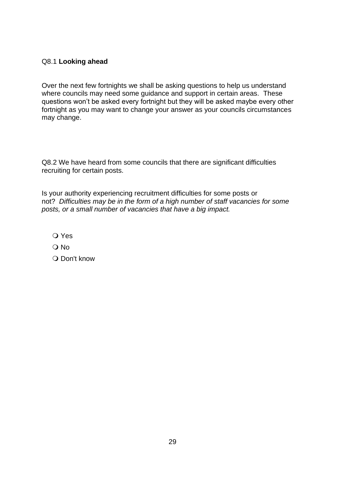#### Q8.1 **Looking ahead**

Over the next few fortnights we shall be asking questions to help us understand where councils may need some quidance and support in certain areas. These questions won't be asked every fortnight but they will be asked maybe every other fortnight as you may want to change your answer as your councils circumstances may change.

Q8.2 We have heard from some councils that there are significant difficulties recruiting for certain posts.

Is your authority experiencing recruitment difficulties for some posts or not? *Difficulties may be in the form of a high number of staff vacancies for some posts, or a small number of vacancies that have a big impact.*

Yes

O No

O Don't know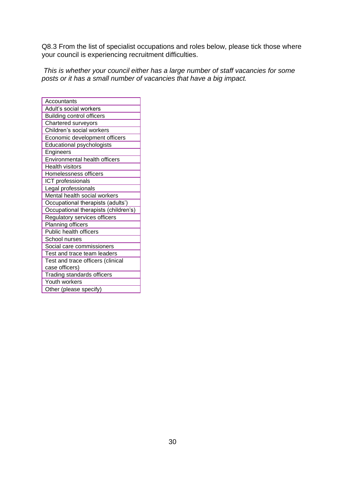Q8.3 From the list of specialist occupations and roles below, please tick those where your council is experiencing recruitment difficulties.

*This is whether your council either has a large number of staff vacancies for some posts or it has a small number of vacancies that have a big impact.*

| Accountants                          |
|--------------------------------------|
| Adult's social workers               |
| <b>Building control officers</b>     |
| Chartered surveyors                  |
| Children's social workers            |
| Economic development officers        |
| Educational psychologists            |
| Engineers                            |
| Environmental health officers        |
| <b>Health visitors</b>               |
| Homelessness officers                |
| ICT professionals                    |
| Legal professionals                  |
| Mental health social workers         |
| Occupational therapists (adults')    |
| Occupational therapists (children's) |
| Regulatory services officers         |
| Planning officers                    |
| Public health officers               |
| School nurses                        |
| Social care commissioners            |
| Test and trace team leaders          |
| Test and trace officers (clinical    |
| case officers)                       |
| <b>Trading standards officers</b>    |
| Youth workers                        |
| Other (please specify)               |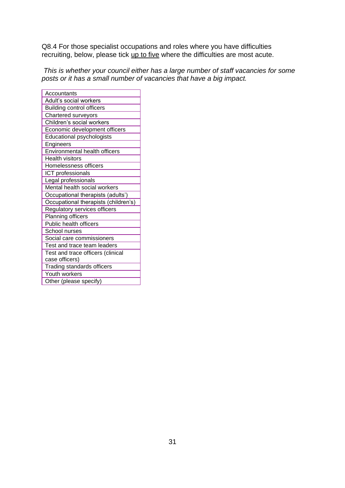Q8.4 For those specialist occupations and roles where you have difficulties recruiting, below, please tick up to five where the difficulties are most acute.

*This is whether your council either has a large number of staff vacancies for some posts or it has a small number of vacancies that have a big impact.*

| Accountants                          |  |  |  |
|--------------------------------------|--|--|--|
| Adult's social workers               |  |  |  |
| <b>Building control officers</b>     |  |  |  |
| Chartered surveyors                  |  |  |  |
| Children's social workers            |  |  |  |
| Economic development officers        |  |  |  |
| Educational psychologists            |  |  |  |
| Engineers                            |  |  |  |
| Environmental health officers        |  |  |  |
| <b>Health visitors</b>               |  |  |  |
| Homelessness officers                |  |  |  |
| ICT professionals                    |  |  |  |
| Legal professionals                  |  |  |  |
| Mental health social workers         |  |  |  |
| Occupational therapists (adults')    |  |  |  |
| Occupational therapists (children's) |  |  |  |
| Regulatory services officers         |  |  |  |
| Planning officers                    |  |  |  |
| Public health officers               |  |  |  |
| School nurses                        |  |  |  |
| Social care commissioners            |  |  |  |
| Test and trace team leaders          |  |  |  |
| Test and trace officers (clinical    |  |  |  |
| case officers)                       |  |  |  |
| Trading standards officers           |  |  |  |
| Youth workers                        |  |  |  |
| Other (please specify)               |  |  |  |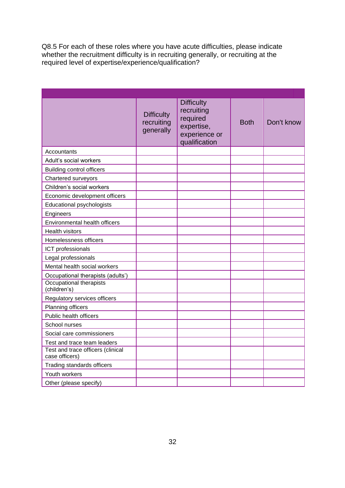Q8.5 For each of these roles where you have acute difficulties, please indicate whether the recruitment difficulty is in recruiting generally, or recruiting at the required level of expertise/experience/qualification?

|                                                                  | <b>Difficulty</b><br>recruiting<br>generally | <b>Difficulty</b><br>recruiting<br>required<br>expertise,<br>experience or<br>qualification | <b>Both</b> | Don't know |
|------------------------------------------------------------------|----------------------------------------------|---------------------------------------------------------------------------------------------|-------------|------------|
| Accountants                                                      |                                              |                                                                                             |             |            |
| Adult's social workers                                           |                                              |                                                                                             |             |            |
| <b>Building control officers</b>                                 |                                              |                                                                                             |             |            |
| Chartered surveyors                                              |                                              |                                                                                             |             |            |
| Children's social workers                                        |                                              |                                                                                             |             |            |
| Economic development officers                                    |                                              |                                                                                             |             |            |
| <b>Educational psychologists</b>                                 |                                              |                                                                                             |             |            |
| Engineers                                                        |                                              |                                                                                             |             |            |
| Environmental health officers                                    |                                              |                                                                                             |             |            |
| <b>Health visitors</b>                                           |                                              |                                                                                             |             |            |
| Homelessness officers                                            |                                              |                                                                                             |             |            |
| ICT professionals                                                |                                              |                                                                                             |             |            |
| Legal professionals                                              |                                              |                                                                                             |             |            |
| Mental health social workers                                     |                                              |                                                                                             |             |            |
| Occupational therapists (adults')                                |                                              |                                                                                             |             |            |
| Occupational therapists<br>(children's)                          |                                              |                                                                                             |             |            |
| Regulatory services officers                                     |                                              |                                                                                             |             |            |
| Planning officers                                                |                                              |                                                                                             |             |            |
| Public health officers                                           |                                              |                                                                                             |             |            |
| School nurses                                                    |                                              |                                                                                             |             |            |
| Social care commissioners                                        |                                              |                                                                                             |             |            |
| Test and trace team leaders<br>Test and trace officers (clinical |                                              |                                                                                             |             |            |
| case officers)                                                   |                                              |                                                                                             |             |            |
| Trading standards officers                                       |                                              |                                                                                             |             |            |
| Youth workers                                                    |                                              |                                                                                             |             |            |
| Other (please specify)                                           |                                              |                                                                                             |             |            |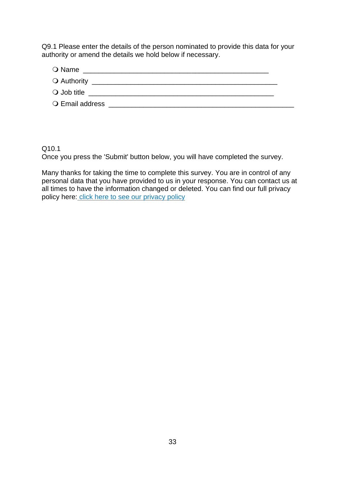Q9.1 Please enter the details of the person nominated to provide this data for your authority or amend the details we hold below if necessary.

| $\bigcirc$ Name      |  |
|----------------------|--|
|                      |  |
| $\bigcirc$ Job title |  |
| O Email address      |  |

#### Q10.1

Once you press the 'Submit' button below, you will have completed the survey.

Many thanks for taking the time to complete this survey. You are in control of any personal data that you have provided to us in your response. You can contact us at all times to have the information changed or deleted. You can find our full privacy policy here[:](https://www.local.gov.uk/privacy-policy-0) [click here to see our privacy policy](https://www.local.gov.uk/privacy-policy-0)